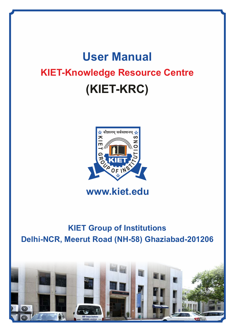# **User Manual KIET-Knowledge Resource Centre (KIET-KRC)**



# **www.kiet.edu**

# **KIET Group of Institutions Delhi-NCR, Meerut Road (NH-58) Ghaziabad-201206**

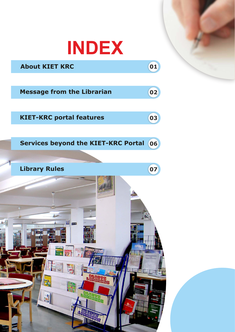

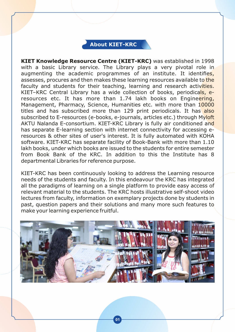# **About KIET-KRC**

**KIET Knowledge Resource Centre (KIET-KRC)** was established in 1998 with a basic Library service. The Library plays a very pivotal role in augmenting the academic programmes of an institute. It identifies, assesses, procures and then makes these learning resources available to the faculty and students for their teaching, learning and research activities. KIET–KRC Central Library has a wide collection of books, periodicals, eresources etc. It has more than 1.74 lakh books on Engineering, Management, Pharmacy, Science, Humanities etc. with more than 10000 titles and has subscribed more than 129 print periodicals. It has also subscribed to E-resources (e-books, e-journals, articles etc.) through Myloft AKTU Nalanda E-consortium. KIET-KRC Library is fully air conditioned and has separate E-learning section with internet connectivity for accessing eresources & other sites of user's interest. It is fully automated with KOHA software. KIET-KRC has separate facility of Book-Bank with more than 1.10 lakh books, under which books are issued to the students for entire semester from Book Bank of the KRC. In addition to this the Institute has 8 departmental Libraries for reference purpose.

KIET-KRC has been continuously looking to address the Learning resource needs of the students and faculty. In this endeavour the KRC has integrated all the paradigms of learning on a single platform to provide easy access of relevant material to the students. The KRC hosts illustrative self-shoot video lectures from faculty, information on exemplary projects done by students in past, question papers and their solutions and many more such features to make your learning experience fruitful.

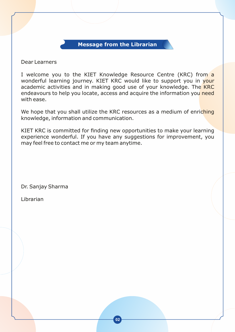### **Message from the Librarian**

Dear Learners

I welcome you to the KIET Knowledge Resource Centre (KRC) from a wonderful learning journey. KIET KRC would like to support you in your academic activities and in making good use of your knowledge. The KRC endeavours to help you locate, access and acquire the information you need with ease.

We hope that you shall utilize the KRC resources as a medium of enriching knowledge, information and communication.

KIET KRC is committed for finding new opportunities to make your learning experience wonderful. If you have any suggestions for improvement, you may feel free to contact me or my team anytime.

Dr. Sanjay Sharma

Librarian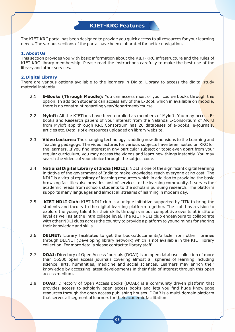### **KIET-KRC Features**

The KIET-KRC portal has been designed to provide you quick access to all resources for your learning needs. The various sections of the portal have been elaborated for better navigation.

#### **1. About Us**

This section provides you with basic information about the KIET-KRC infrastructure and the rules of KIET-KRC library membership. Please read the instructions carefully to make the best use of the library and other services.

#### **2. Digital Library**

There are various options available to the learners in Digital Library to access the digital study material instantly.

- 2.1 **E-Books (Through Moodle):** You can access most of your course books through this option. In addition students can access any of the E-Book which in available on moodle, there is no constraint regarding year/department/course.
- 2.2 **Myloft:** All the KIETians have been enrolled as members of Myloft. You may access Ebooks and Research papers of your interest from the Nalanda E-Consortium of AKTU from Myloft app through KRC.Consortium has 20 databases of e-books, e-journals, articles etc. Details of e-resources uploaded on library website.
- 2.3 **Video Lectures:** The changing technology is adding new dimensions to the Learning and Teaching pedagogy. The video lectures for various subjects have been hosted on KRC for the learners. If you find interest in any particular subject or topic even apart from your regular curriculum, you may access the videos and learn new things instantly. You may search the videos of your choice through the subject code.
- 2.4 **National Digital Library of India (NDLI):** NDLI is one of the significant digital learning initiative of the government of India to make knowledge reach everyone at no cost. The NDLI is a virtual repository of learning resources which in addition to providing the basic browsing facilities also provides host of services to the learning community. It serves the academic needs from schools students to the scholars pursuing research. The platform supports many languages and almost all streams of learning in modern day.
- 2.5 **KIET NDLI Club:** KIET NDLI club is a unique initiative supported by IITK to bring the students and faculty to the digital learning platform together. The club has a vision to explore the young talent for their skills through various competitive events at institute level as well as at the intra college level. The KIET NDLI club endeavours to collaborate with other NDLI clubs across the country to provide a platform to young minds for sharing their knowledge and skills.
- 2.6 **DELNET:** Library facilitates to get the books/documents/article from other libraries through DELNET (Developing library network) which is not available in the KIET library collection. For more details please contact to library staff.
- 2.7 **DOAJ:** Directory of Open Access Journals (DOAJ) is an open database collection of more than 16500 open access journals covering almost all spheres of learning including science, arts, humanities, medicine and social sciences. Learners may enrich their knowledge by accessing latest developments in their field of interest through this open access medium.
- 2.8 **DOAB:** Directory of Open Access Books (DOAB) is a community driven platform that provides access to scholarly open access books and lets you find huge knowledge resources through the open access publishing houses. DOAB is a multi-domain platform that serves all segment of learners for their academic facilitation.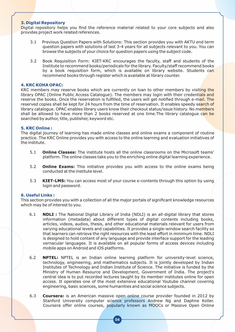#### **3. Digital Repository**

Digital repository helps you find the reference material related to your core subjects and also provides project work related references.

- 3.1 Previous Question Papers with Solutions: This section provides you with AKTU end term question papers with solutions of last 3-4 years for all subjects relevant to you. You can browse the subjects of your choice for question papers using the subject code.
- 3.2 Book Requisition Form: KIET-KRC encourages the faculty, staff and students of the Institute to recommend books/periodicals for the library. Faculty/staff recommend books by a book requisition form, which is available on library website. Students can recommend books through register which is available at library counter.

#### **4. KRC KOHA OPAC:**

KRC members may reserve books which are currently on loan to other members by visiting the library OPAC (Online Public Access Catalogue). The members may login with their credentials and reserve the books. Once the reservation is fulfilled, the users will get notified through e-mail. The reserved copies shall be kept for 24 hours from the time of reservation. It enables speedy search of library catalogue. OPAC enables library users know their checkout status/issue history. No members shall be allowed to have more than 2 books reserved at one time. The library catalogue can be searched by author, title, publisher, keyword etc.

#### **5. KRC Online :**

The digital journey of learning has made online classes and online exams a component of routine practice. The KRC Online provides you with access to the online learning and evaluation initiatives of the institute.

- 5.1 **Online Classes:** The institute hosts all the online classrooms on the Microsoft teams' platform. The online classes take you to the enriching online digital learning experience.
- 5.2 **Online Exams:** This initiative provides you with access to the online exams being conducted at the institute level.
- 5.3 **KIET-LMS:** You can access most of your course e-contents through this option by using login and password.

#### **6. Useful Links :**

This section provides you with a collection of all the major portals of significant knowledge resources which may be of interest to you.

- 6.1 **NDLI :** The National Digital Library of India (NDLI) is an all-digital library that stores information (metadata) about different types of digital contents including books, articles, videos, audios, thesis, and other educational materials relevant for users from varying educational levels and capabilities. It provides a single-window search facility so that learners can retrieve the right resources with the least effort in minimum time. NDLI is designed to hold content of any language and provide interface support for the leading vernacular languages. It is available on all popular forms of access devices including mobile apps on Android and iOS platforms.
- 6.2 **NPTEL:** NPTEL is an Indian online learning platform for university-level science, technology, engineering, and mathematics subjects. It is jointly developed by Indian Institutes of Technology and Indian Institute of Science. The initiative is funded by the Ministry of Human Resource and Development, Government of India. The project's central idea is to put recorded lectures taught by its member institutes online for open access. It operates one of the most extensive educational Youtube channel covering engineering, basic sciences, some humanities and social science subjects.
- 6.3 **Coursera:** is an American massive open online course provider founded in 2012 by Stanford University computer science professors Andrew Ng and Daphne Koller. Coursera offer online courses, popularly known as MOOCs or Massive Open Online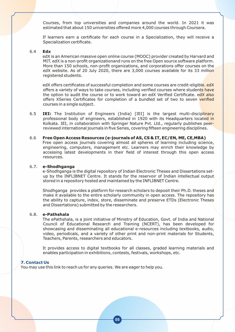Courses, from top universities and companies around the world. In 2021 it was estimated that about 150 universities offered more 4,000 courses through Coursera.

If learners earn a certificate for each course in a Specialization, they will receive a Specialization certificate.

#### 6.4 **Edx**

edX is an American massive open online course (MOOC) provider created by Harvard and MIT. edX is a non-profit organizationand runs on the free Open source software platform. More than 150 schools, non-profit organizations, and corporations offer courses on the edX website. As of 20 July 2020, there are 3,000 courses available for its 33 million registered students.

edX offers certificates of successful completion and some courses are credit-eligible, edX offers a variety of ways to take courses, including verified courses where students have the option to audit the course or to work toward an edX Verified Certificate. edX also offers XSeries Certificates for completion of a bundled set of two to seven verified courses in a single subject.

6.5 **IEI:** The Institution of Engineers (India) [IEI] is the largest multi-disciplinary professional body of engineers, established in 1920 with its Headquarters located in Kolkata. IEI, in collaboration with Springer Nature Pvt. Ltd., regularly publishes peerreviewed international journals in five Series, covering fifteen engineering disciplines.

#### 6.6 **Free Open Access Resources (e-journals of AS, CS & IT, EC/EN, ME, CE,MBA)**

Free open access journals covering almost all spheres of learning including science, engineering, computers, management etc. Learners may enrich their knowledge by accessing latest developments in their field of interest through this open access resources.

#### 6.7. **e-Shodhganga**

e-Shodhganga is the digital repository of Indian Electronic Theses and Dissertations setup by the INFLIBNET Centre. It stands for the reservoir of Indian intellectual output stored in a repository hosted and maintained by the INFLIBNET Centre.

Shodhganga provides a platform for research scholars to deposit their Ph.D. theses and make it available to the entire scholarly community in open access. The repository has the ability to capture, index, store, disseminate and preserve ETDs (Electronic Theses and Dissertations) submitted by the researchers.

#### 6.8. **e-Pathshala**

The ePathshala, is a joint initiative of Ministry of Education, Govt. of India and National Council of Educational Research and Training (NCERT), has been developed for showcasing and disseminating all educational e-resources including textbooks, audio, video, periodicals, and a variety of other print and non-print materials for Students, Teachers, Parents, researchers and educators.

It provides access to digital textbooks for all classes, graded learning materials and enables participation in exhibitions, contests, festivals, workshops, etc.

#### **7. Contact Us**

You may use this link to reach us for any queries. We are eager to help you.

**05**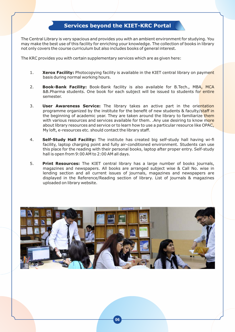# **Services beyond the KIET-KRC Portal**

The Central Library is very spacious and provides you with an ambient environment for studying. You may make the best use of this facility for enriching your knowledge. The collection of books in library not only covers the course curriculum but also includes books of general interest.

The KRC provides you with certain supplementary services which are as given here:

- 1. **Xerox Facility:** Photocopying facility is available in the KIET central library on payment basis during normal working hours.
- 2. **Book-Bank Facility:** Book-Bank facility is also available for B.Tech., MBA, MCA &B.Pharma students. One book for each subject will be issued to students for entire semester.
- 3. **User Awareness Service:** The library takes an active part in the orientation programme organized by the institute for the benefit of new students & faculty/staff in the beginning of academic year. They are taken around the library to familiarize them with various resources and services available for them. . Any use desiring to know more about library resources and service or to learn how to use a particular resource like OPAC, My loft, e-resources etc. should contact the library staff.
- 4. **Self-Study Hall Facility:** The institute has created big self-study hall having wi-fi facility, laptop charging point and fully air-conditioned environment. Students can use this place for the reading with their personal books, laptop after proper entry. Self-study hall is open from 9:00 AM to 2:00 AM all days.
- 5. **Print Resources:** The KIET central library has a large number of books journals, magazines and newspapers. All books are arranged subject wise & Call No. wise in lending section and all current issues of journals, magazines and newspapers are displayed in the Reference/Reading section of library. List of journals & magazines uploaded on library website.

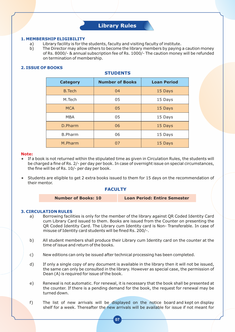## **Library Rules**

#### **1. MEMBERSHIP ELIGIBILITY**

- a) Library facility is for the students, faculty and visiting faculty of institute.
- b) The Director may allow others to become the library members by paying a caution money of Rs. 8000/- & annual subscription fee of Rs. 1000/- The caution money will be refunded on termination of membership.

#### **2. ISSUE OF BOOKS**

| <b>Category</b> | <b>Number of Books</b> | <b>Loan Period</b> |  |  |
|-----------------|------------------------|--------------------|--|--|
| <b>B.Tech</b>   | 04                     | 15 Days            |  |  |
| M.Tech          | 05                     | 15 Days            |  |  |
| <b>MCA</b>      | 05                     | 15 Days            |  |  |
| <b>MBA</b>      | 05                     | 15 Days            |  |  |
| D.Pharm         | 06                     | 15 Days            |  |  |
| <b>B.Pharm</b>  | 06                     | 15 Days            |  |  |
| M.Pharm         | 07                     | 15 Days            |  |  |

**STUDENTS** 

#### **Note:**

- If a book is not returned within the stipulated time as given in Circulation Rules, the students will be charged a fine of Rs. 2/- per day per book. In case of overnight issue on special circumstances, the fine will be of Rs. 10/- per day per book.
- Students are eligible to get 2 extra books issued to them for 15 days on the recommendation of their mentor.

#### **FACULTY**

|  | <b>Number of Books: 10</b> |  |
|--|----------------------------|--|
|--|----------------------------|--|

**Loan Period: Entire Semester** 

#### **3. CIRCULATION RULES**

- a) Borrowing facilities is only for the member of the library against QR Coded Identity Card cum Library Card issued to them. Books are issued from the Counter on presenting the QR Coded Identity Card. The Library cum Identity card is Non- Transferable. In case of misuse of Identity card students will be fined Rs. 200/-.
- b) All student members shall produce their Library cum Identity card on the counter at the time of issue and return of the books.
- c) New editions can only be issued after technical processing has been completed.
- d) If only a single copy of any document is available in the library then it will not be issued, the same can only be consulted in the library. However as special case, the permission of Dean (A) is required for issue of the book.
- e) Renewal is not automatic. For renewal, it is necessary that the book shall be presented at the counter. If there is a pending demand for the book, the request for renewal may be turned down.
- f) The list of new arrivals will be displayed on the notice board and kept on display shelf for a week. Thereafter the new arrivals will be available for issue if not meant for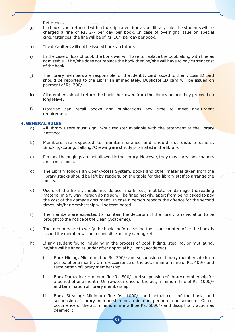Reference.

- g) If a book is not returned within the stipulated time as per library rule, the students will be charged a fine of Rs. 2/- per day per book. In case of overnight issue on special circumstances, the fine will be of Rs. 10/- per day per book.
- h) The defaulters will not be issued books in future.
- i) In the case of loss of book the borrower will have to replace the book along with fine as admissible. If he/she does not replace the book then he/she will have to pay current cost of the book.
- j) The library members are responsible for the Identity card issued to them. Loss ID card should be reported to the Librarian immediately. Duplicate ID card will be issued on payment of Rs. 200/-.
- k) All members should return the books borrowed from the library before they proceed on long leave.
- I) Librarian can recall books and publications any time to meet any urgent requirement.

#### **4. GENERAL RULES**

- a) All library users must sign in/out register available with the attendant at the library entrance.
- b) Members are expected to maintain silence and should not disturb others. Smoking/Eating/ Talking /Chewing are strictly prohibited in the library.
- c) Personal belongings are not allowed in the library. However, they may carry loose papers and a note book.
- d) The Library follows an Open-Access System. Books and other material taken from the library stacks should be left by readers, on the table for the library staff to arrange the books.
- e) Users of the library should not deface, mark, cut, mutilate or damage the reading material in any way. Person doing so will be fined heavily, apart from being asked to pay the cost of the damage document. In case a person repeats the offence for the second times, his/her Membership will be terminated.
- f) The members are expected to maintain the decorum of the library, any violation to be brought to the notice of the Dean (Academic).
- g) The members are to verify the books before leaving the issue counter. After the book is issued the member will be responsible for any damage etc.
- h) If any student found indulging in the process of book hiding, stealing, or mutilating, he/she will be fined as under after approval by Dean (Academic).
	- i. Book Hiding: Minimum fine Rs. 200/- and suspension of library membership for a period of one month. On re-occurrence of the act, minimum fine of Rs. 400/- and termination of library membership.
	- ii. Book Damaging: Minimum fine Rs. 500/- and suspension of library membership for a period of one month. On re-occurrence of the act, minimum fine of Rs. 1000/ and termination of library membership.
	- iii. Book Stealing: Minimum fine Rs. 1000/- and actual cost of the book, and suspension of library membership for a minimum period of one semester. On reoccurrence of the act minimum fine will be Rs. 5000/- and disciplinary action as deemed it.